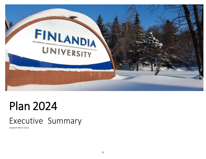

# Plan 2024

# Executive Summary

*(Updated March 2022)*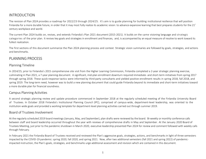# INTRODUCTION

The revision of Plan 2024 provides a roadmap for 2022/23 through 2024/25. It's aim is to guide planning for building institutional resilience that will position Finlandia for a more durable future, in order that it may most fully realize its academic vision: to advance expansive learning that best prepares students for the 21<sup>st</sup> century workplace and world.

The current Plan 2024 builds on, revises, and extends Finlandia's Plan 2021 document (2015-2021). It builds on the same visioning language and strategic categories of the prior plan. It revises key goals and strategies in enrollment and finances, and, is accompanied by an equal measure of resolve to work toward its fullest realization.

The first sections of this document summarize the Plan 2024 planning process and context. Strategic vision summaries are followed by goals, strategies, and actions and benchmarks.

# PLANNING PROCESS

#### Planning Timeline

In 2014/15, prior to Finlandia's 2015 comprehensive site visit from the Higher Learning Commission, Finlandia completed a 2-year strategic planning exercise, culminating in Plan 2021, a 7-year planning document. A significant, mid-plan enrollment downturn required immediate- and short-term initiatives from spring 2017 through spring 2018. These quick-response tactics were informed by third-party consultants and yielded positive enrollment results in spring 2018, fall 2018, and spring 2019. The long-term need, however was to build a new planning document that could guide Finlandia beyond its immediate and short-term initiatives toward a more durable plan for financial soundness.

#### Campus Planning Activities

A second strategic planning review and update procedure commenced in September 2018 at the regularly scheduled meeting of the Finlandia University Board of Trustees. In October 2018 Finlandia's Institutional Planning Council (IPC), comprised of campus-wide, department-level leadership, was oriented to the institution-wide goals and provided a working template for department-level planning activities carried out through summer 2019.

#### Board of Trustees Involvement

At the regularly scheduled 2019 board meetings (January, May, and September), plan drafts were reviewed by the board. Bi-weekly or monthly conference calls between staff and board leadership occurred throughout the year with reviews of comprehensive drafts in May and September. At the January 2020 Board of Trustees Meeting, just prior to the pandemic shutdown in March 2020, executive leadership presented Plan 2024 for review and comment followed with weekly calls through February.

In February 2021 the Finlandia Board of Trustees received and reviewed the Plan's aggressive goals, strategies, actions, and benchmarks in light of three semesters impacted by the COVID-19 pandemic: spring 2020, fall 2020, and spring 2021. Now, after two additional semesters (fall 2021 and spring 2022) of pandemicimpacted instruction, the Plan's goals, strategies, and benchmarks urge additional assessment and revision which are contained in this document.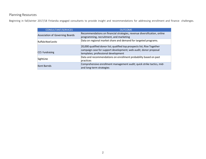# Planning Resources

Beginning in fall/winter 2017/18 Finlandia engaged consultants to provide insight and recommendations for addressing enrollment and finance challenges.

| <b>CONSULTANT/SERVICES</b>      | <b>OUTCOME</b>                                                                                                                                                                      |
|---------------------------------|-------------------------------------------------------------------------------------------------------------------------------------------------------------------------------------|
| Association of Governing Boards | Recommendations on financial strategies, revenue diversification, online<br>programming, recruitment, and marketing                                                                 |
| Ruffalo Noel Levitz             | Data on regional market share and demand for targeted programs.                                                                                                                     |
| <b>CCS Fundraising</b>          | 20,000 qualified donor list; qualified top prospects list; Rise Together<br>campaign case for support development; web audit; donor proposal<br>templates; professional development |
| SightLine                       | Data and recommendations on enrollment probability based on past<br>practices                                                                                                       |
| <b>Kent Barnds</b>              | Comprehensive enrollment management audit; quick strike tactics, mid-<br>and long-term strategies                                                                                   |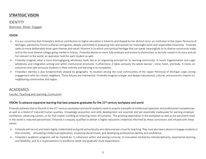# STRATEGIC VISION

# IDENTITY Distinctive ·Whole · Engaged

## **VISION**

- It is our conviction that Finlandia's distinct contribution to higher education is linked to and shaped by her distinct story: an institution in the Upper Peninsula of Michigan, planted by Finnish Lutheran immigrants, deeply committed to preparing men and women for meaningful work and responsible citizenship. Finlandia seeks to more deliberately draw upon themes and values inherent in its ethnic and spiritual heritage that can speak meaningfully to its diverse community today and to the most diverse college-going market in history. Finlandia desires to more fully embrace and evolve its distinctives; to be fully rooted in its story and yet full relevant to the world, an aspiration held for each student as well.
- Finlandia imagines what a more thoroughgoing wholeness looks like as an organizing principal for its learning community. It resists fragmentation and urges wholeness and integration among and within institutional structures. Furthermore, it takes seriously the whole learner - mind, heart, and body. It insists on outcomes that take seriously students in their entirety and learning in its complexity.
- Finlandia's identity is also fundamentally shaped by geography. Its location among the rural communities of the Upper Peninsula of Michigan urges strong engagement with her closest neighbors. These futures are intertwined. Finlandia imagines a larger and deeper educational, cultural, and economic imprint on neighboring communities and region.

# ACADEMICS

Faculty, Teaching and Learning, Curriculum

#### VISION: To advance expansive learning that best prepares graduates for the 21<sup>st</sup>-century workplace and world

Finlandia believes that to flourish in the 21<sup>st</sup>-century workplace and world students need to acquire a breadth of intellectual capacities and professional competencies as well as a blend of matured human qualities. Knowledge acquisition and skills development are essential and yet essentially inadequate for earning employer confidence, advancing careers, or for that matter, building an enduring vision of humanity. The growing expectation in the workplace as well as the persistent need in the world is matured personhood. Finlandia is uniquely qualified to deliver a higher education credential informed by these convictions and infused with these values.

- Finlandia will recruit and retain highly credentialed and guild-active faculty who demonstrate a love for teaching. They must also have a desire to engage students in their entirety, stimulating intellectual exploration, vocational discernment, and developing professional identity and confidence.
- Finlandia's academic programs will be marked by: 1) coherence within and among curricula; 2) innovation marked by interdisciplinarity, experiential learning, and flexibility; and 3) a responsiveness to workforce needs and graduate study expectations.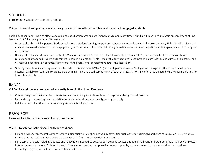# **STUDENTS**

Enrollment, Success, Development, Athletics

#### VISION: To enroll and graduate academically successful, socially responsible, and community engaged students

Fueled by exceptional levels of effectiveness in and coordination among enrollment management activities, Finlandia will reach and maintain an enrollment of no less than 517 full time equivalent (FTE) students.

- Distinguished by a highly personalized constellation of student learning support and robust campus and co-curricular programming, Finlandia will achieve and maintain improved levels of student engagement, persistence, and first-time, full-time graduation rates that are competitive with 50-plus percent PELL eligible institutions.
- Distinguished by a newly launched Center for Vocation and Career (CVC), Finlandia will graduate students with 1) matured levels of personal vocational reflection; 2) broadened student engagement in career exploration, 3) elevated profile for vocational discernment in curricular and co-curricular programs, and 4) improved coordination of strategies for career and professional development across the institution.
- Offering the only National Collegiate Athletic Association –Division Three (NCAA DIII) in the Upper Peninsula of Michigan and recognizing the student development potential available through DIII collegiate programming, Finlandia will compete in no fewer than 12 Division III, conference-affiliated, varsity sports enrolling no fewer than 300 students

# IMAGE VISION: To hold the most recognized university brand in the Upper Peninsula

- Create, design, and deliver a clear, consistent, and compelling institutional brand to capture a strong market position.
- Earn a strong local and regional reputation for higher education value, quality, and opportunity.
- Reinforce brand identity on campus among students, faculty, and staff.

# RESOURCES

#### Finances, Facilities, Advancement, Human Resources

#### VISION: To achieve institutional health and resilience

- Finlandia will show measurable improvement in financial well-being as defined by seven financial markers including Department of Education (DOE) financial ratio scores, net tuition revenue growth, stronger cash flow, improved debt management.
- Eight capital projects including updates and renovations needed to best support student success and fuel enrollment and program growth will be completed. Priority projects include a College of Health Sciences renovation, campus-wide energy upgrade, an on-campus housing expansion, instructional technology upgrade, and a Center for Vocation and Career.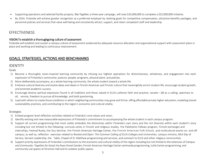- Supporting operations and selected facility projects, *Rise Together*, a three-year campaign, will raise \$10,000,000 to complete a \$25,000,000 initiative.
- By 2024, Finlandia will achieve greater recognition as a preferred employer by realizing goals for competitive compensation, attractive benefits packages, and personnel policies and services that value well-being and consistently attract, support, and retain competent staff and leadership.

# **FFFECTIVENESS**

#### VISION: To establish a thoroughgoing culture of assessment

Finlandia will establish and sustain a campus culture of assessment evidenced by adequate resource allocation and organizational support with assessment plans in place and working and leading to continuous improvement.

# GOALS, STRATEGIES, ACTIONS AND BENCHMARKS

# IDENTITY

Goals

- 1) Become a thoroughly vision-inspired learning community by infusing our highest aspirations for distinctiveness, wholeness, and engagement into each expression of Finlandia's community: posture, people, programs, physical plant, and policies.
- 2) More deliberately accompany, as a whole learning community, the whole student toward a whole life.
- 3) Embrace cultural diversity and evolve ideas and ideals in Finnish American and Finnish culture that meaningfully enrich student life, encourage student growth, and promote academic success.
- 4) Encourage diverse spiritual expression found in all traditions and those valued in ELCA Lutheran faith and practice: *vocatio – life* as a calling, openness to all, service, freedom to pursue all knowledge, and bold questioning.
- 5) Lead with others to create those conditions in which neighboring communities may grow and thrive: offing affordable private higher education, modeling shared sustainability practices, and contributing to the region's economic and cultural vitality.

#### **Strategies**

- 1) Embed program-level reflection activities related to Finlandia's core values and vision.
- 2) Identify existing and new measurable expressions of Finlandia's commitment to accompanying the whole student in each campus program.
- 3) Support all current programming that most visibly embodies the distinctives within Finlandia's own story and the rich diversity within each student's story including but not limited to the following: curricula series in Finnish and religious studies, the Paloheimo Fellows program, Finnish exchanges and internships, Festival Ruska, the Sisu Seminar, the Finnish American Heritage Center, the Finnish American Folk School, and multicultural events on- and offcampus; as well as, reflection exercises related to *Rooted and Open: The Common Calling of ELCA Colleges and Universities*, campus ministry, MLK Day of Service, Servant Leadership, the Table, Chapel of St. Matthew programming and services, and outreach to ELCA and other religious communities.
- 4) Support priority expressions of Finlandia's contributions to the economic and cultural vitality of the region including but not limited to the extension of *Campus and Community: Together for Good*;the Ryan Street Garden; Finnish American Heritage Center community programming, Jutila Center programming, and community use spaces at Hirvonen Hall and its outdoor public spaces.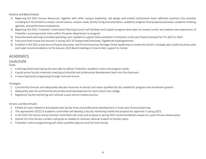Actions and Benchmarks

- 1) Beginning fall 2022 Human Resources, together with other campus leadership, will design and embed institutional vision reflection practices into activities including but not limited to campus conversations, campus reads, faculty hiring and orientation, academic program-level proposal processes, academic meeting agendas, and performance evaluations.
- 2) Beginning fall 2022, Finlandia's Institutional Planning Council will facilitate and support program-level plans to review current and explore new expressions of Finlandia's accompaniment vision within the given department or program.
- 3) Executive-level planning to embed operating costs needed to support these activities in Finlandia's multi-year finance forecast for FYs 2023 to 2025.
- 4) Executive-level review and revision in spring 2022 of *Campus and Community: Together for Good*agreement.
- 5) Establish in fall 2022 a task force of board, executive, and Finnish American Heritage Center leadership to reviewthe Center'sstrategic plan, build a business plan, and make recommendations to the January 2023 Board meeting on how to best support its Center.

# ACADEMICS

#### Faculty Profile

Goals

- 1. A distinguished teaching faculty best able to deliver Finlandia's academic vision and program needs.
- 2. A guild-active faculty creatively investing scholarship and professional development back into the classroom.
- 3. A maturing faculty progressing through rank and tenure.

#### Strategies

- 1. Consistently forecast and adequately allocate resources to attract and retain qualified faculty needed for program and enrollment growth.
- 2. Adequately plan for and fund faculty professional development for each school and college.
- 3. Regularize faculty mentoring and institute a post-tenure review practice.

- 1. Embed all costs related to anticipated new faculty hires and professional development in multi-year financial planning.
- 2. The appropriate 2022/23 academic committee will develop a faculty mentoring model and propose for approval in spring 2023.
- 3. In fall 2022 the tenure and promotion committee will study and propose in spring 2023 recommendations based on a post-tenure review policy.
- 4. Overall full-time faculty numbers will grow as needed to maintain optimal student-to-faculty ratios.
- 5. Finlandia's online programming will utilize qualified adjuncts and full-time faculty.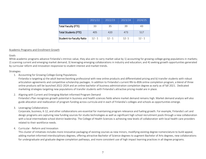|                             | 2021/22  | 2022/23  | 2023/24  | 2024/25  |
|-----------------------------|----------|----------|----------|----------|
| Total Faculty (FTE)         | 33       | 35       | 39       | 43       |
| <b>Total Students (FTE)</b> | 405      | 420      | 473      | 517      |
| Student-to-Faculty Ratio    | $12 - 1$ | $12 - 1$ | $12 - 1$ | $12 - 1$ |

#### Academic Programs and Enrollment Growth

#### Goals

While academic programs advance Finlandia's intrinsic value, they also aim to carry market value by 1) accounting for growing college-going populations in markets; 2) scanning current and emerging market demand; 3) leveraging emerging collaborations in industry and education; and 4) seeking growth opportunities generated by curricular reform and innovation responsive to student interest and market trends.

#### Strategies

1. Accounting for Growing College-Going Populations

Finlandia is targeting a) the adult learner/working professional with new online products and differentiated pricing and b) transfer students with robust articulation agreements and competitive scholarship packages. In addition to Finlandia's current RN-to-BSN online completion program, a blend of three online products will be launched 2022-2024 and an online bachelor of business administration completion degree as early as of fall 2021. Dedicated marketing strategies targeting new populations of transfer students with Finlandia's attractive pricing model are in place.

#### 2. Aligning with Current and Emerging Market-informed Program Demand

Finlandia's Plan recognizes growth potential in business and health sciences fields where market demand remains high. Market demand analysis will also guide allocation and reallocation of program funding across curricula and in each of Finlandia's colleges and schools as opportunities emerge.

3. Leveraging Collaborations

Corporate, business, K-12, and other collaborations are essential for maintaining program relevance and fueling growth. For example, Finlandia's art and design programs are capturing new funding sources for studio technologies as well as significant high school recruitment pools through a new collaboration with a local intermediate school district leadership. The College of Health Sciences is achieving new levels of collaboration with local health care providers related to their workforce needs.

#### 4. Curricular - Reform and Innovation

This cluster of initiatives includes more innovative packaging of existing courses as new minors, modifying existing degree nomenclature to build appeal, adding market-informed interdisciplinary degrees, offering attractive Bachelor of Science degrees to augment Bachelor of Arts degrees, new collaborations for undergraduate and graduate degree completion pathways, and more consistent use of high impact learning practices in all degree programs.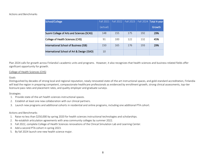#### Actions and Benchmarks

| School/College                              | <b>Fall 2021</b> | <b>Fall 2022</b> | Fall 2023 |     | Fall 2024 Total 4-year |
|---------------------------------------------|------------------|------------------|-----------|-----|------------------------|
|                                             | (actual)         |                  |           |     | Growth                 |
| Suomi College of Arts and Sciences (SCAS)   | 148              | 155              | 175       | 192 | 29%                    |
| College of Health Sciences (CHS)            | 91               | 100              | 122       | 132 | 45%                    |
| International School of Business (ISB)      | 150              | 165              | 176       | 193 | 29%                    |
| International School of Art & Design (ISAD) | 10               |                  |           |     |                        |

Plan 2024 calls for growth across Finlandia's academic units and programs. However, it also recognizes that health sciences and business-related fields offer significant opportunity for growth.

#### College of Health Sciences (CHS)

#### Goals

Distinguished by decades of strong local and regional reputation, newly renovated state-of-the-art instructional spaces, and gold-standard accreditation, Finlandia will lead the region in preparing competent, compassionate healthcare professionals as evidenced by enrollment growth, strong clinical assessments, top-tier licensure pass rates and placement rates, and quality employer and graduate surveys.

#### Strategies

- 1. Provide state-of-the-art health sciences instructional spaces.
- 2. Establish at least one new collaboration with our clinical partners.
- 3. Launch new programs and additional cohorts in residential and online programs, including one additional PTA cohort.

- 1. Raise no less than \$250,000 by spring 2020 for health sciences instructional technologies and scholarships.
- 2. Re-establish articulation agreements with area community colleges by summer 2022.
- 3. Fall 2022, complete College of Health Sciences renovations of the Clinical Simulation Lab and Learning Center.
- 4. Add a second PTA cohort in spring 2023.
- 5. By fall 2024 launch one new health science major.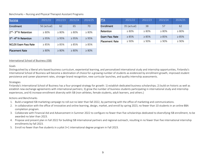#### Benchmarks – Nursing and Physical Therapist Assistant Programs

| <b>Nursing</b>                     | 2021/22     | 2022/23     | 2023/24     | 2024/25     |
|------------------------------------|-------------|-------------|-------------|-------------|
| Enrollment                         | 56 (actual) | 62          | 65          | 70          |
| 2nd - 3rd Yr Retention             | $> 80\%$    | $> 80\%$    | $> 80\%$    | $\geq 80\%$ |
| 3rd - 4 <sup>th</sup> Yr Retention | $\geq 95\%$ | $\geq 95\%$ | > 95%       | $\geq 95\%$ |
| <b>NCLEX Exam Pass Rate</b>        | $\geq 85\%$ | >85%        | >85%        | $\geq 85\%$ |
| <b>Placement Rate</b>              | $\geq 80\%$ | $\geq 80\%$ | $\geq 80\%$ | $\geq 80\%$ |

| <b>PTA</b>            | 2021/22     | 2022/23  | 2023/24  | 2024/25  |
|-----------------------|-------------|----------|----------|----------|
| Enrollment            | 35 (actual) | 38       | 57       | 62       |
| Retention             | $> 80\%$    | $> 80\%$ | $> 80\%$ | $> 80\%$ |
| <b>Exam Pass Rate</b> | > 85%       | > 85%    | > 85%    | > 85%    |
| <b>Placement Rate</b> | $> 90\%$    | $> 90\%$ | $> 90\%$ | $> 90\%$ |

#### International School of Business (ISB)

#### Goals

Distinguished by a liberal arts-based business curriculum, experiential learning, and personalized international study and internship opportunities, Finlandia's International School of Business will become a destination of choice for a growing number of students as evidenced by enrollment growth, improved student persistence and career placement rates, stronger brand recognition, new curricular launches, and quality internship assessments.

#### Strategies

Finlandia's International School of Business has a four-pronged strategy for growth: 1) establish dedicated business scholarships; 2) build on historic as well as establish new exchange agreements with international partners; 3) grow the number of business students participating in international study and internship experiences, and 4) increase enrollment diversity with ISB (non-athletes, female students, adult learners, and others.)

- 1. Build a targeted ISB marketing campaign to roll out no later than fall 2022, by partnering with the office of marketing and communications.
- 2. In collaboration with the office of innovative and online learning, design, market, and enroll by spring 2023, no fewer than 10 students in an online BBA completion program.
- 3. Collaborate with Financial Aid and Advancement in Summer 2022 to configure no fewer than five scholarships dedicated to diversifying ISB enrollment, to be awarded no later than 2023.
- 4. Propose and present plan in Fall 2022 for building ISB international partners and regional outreach, resulting in no fewer than five international internship enrollments by fall 2023.
- 5. Enroll no fewer than five students in a pilot 3+1 international degree program in Fall 2023.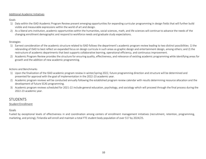#### Additional Academic Initiatives

Goals

- 1) Data within the ISAD Academic Program Review present emerging opportunities for expanding curricular programming in design fields that will further build visible and measurable expressions within the world of art and design.
- 2) As a liberal arts institution, academic opportunities within the humanities, social sciences, math, and life sciences will continue to advance the needs of the changing enrollment demographic and respond to workforce needs and graduate study expectations.

#### Strategies

- 1) Earnest consideration of the academic structure related to ISAD follows the department's academic program review leading to two distinct possibilities: 1) the rebranding of ISAD to best reflect an expanded focus on design curricula in such areas as graphic design and entertainment design, among others; and 2) the restructure of academic departments that best supports collaborative learning, operational efficiency, and continuous improvement.
- 2) Academic Program Review provides the structure for ensuring quality, effectiveness, and relevance of existing academic programming while identifying areas for growth and the addition of new academic programming.

#### Actions and Benchmarks

- 1) Upon the finalization of the ISAD academic program review in winter/spring 2022, future programming direction and structure will be determined and presented for approval with the goal of implementation in the 2022-23 academic year.
- 2) Academic program reviews will be conducted annually following the established program review calendar with results determining resource allocation and the development of future SCAS programming.
- 3) Academic program reviews scheduled for 2021-22 include general education, psychology, and sociology which will proceed through the final process during the 2022-23 academic year.

# **STUDENTS**

#### Student Enrollment

#### Goals

Fueled by exceptional levels of effectiveness in and coordination among centers of enrollment management initiatives (recruitment, retention, programming, marketing, and pricing), Finlandia will enroll and maintain a total FTE student body population of over 517 by 2024/25.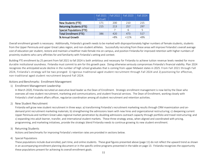|                                 | <b>Fall 2021</b><br>(actual) | Fall 2022 | <b>Fall 2023</b> | <b>Fall 2024</b> |
|---------------------------------|------------------------------|-----------|------------------|------------------|
| New Students (FTE)              | 171                          | 200       | 210              | 215              |
| <b>Returning Students (FTE)</b> | 215                          | 213       | 257              | 297              |
| Special Populations (FTE)       |                              |           | 6                | 5                |
| <b>Total Enrollment (FTE)</b>   | 386                          | 420       | 473              | 517              |
| % Annual Growth                 |                              | $+8%$     | $+11%$           | +8%              |

Overall enrollment growth is necessary. Additionally, Finlandia's growth needs to be marked with disproportionately higher numbers of female students, students from the Upper Peninsula and upper Great Lakes region, and non-student athletes. Successfully recruiting from these areas will improve Finlandia's overall average cost of education per student, restore and maintain a healthier male-female mix on campus, and position Finlandia for improved retention with higher numbers of proximity students who carry affinities for and familiarity with Finlandia's setting and context.

Building FTE enrollment by 25 percent from fall 2021 to fall 2024 is both ambitious and necessary for Finlandia to achieve tuition revenue levels needed for more durable institutional soundness. Finlandia must commit to aim for this growth pace. Doing otherwise seriously compromises Finlandia's financial viability. Plan 2024 recognizes the anticipated acute decline in the number of high school graduates that is coming from upper Midwest states in 2025. From Fall 2021 through Fall 2024, Finlandia's strategy will be two pronged: 1) rigorous traditional-aged student recruitment through Fall 2024 and 2) positioning for effective, non-traditional aged student recruitment beyond Fall 2024.

Actions and Benchmarks: Enrollment Management

1) Enrollment Management Leadership

In March 2020, Finlandia recruited an executive-level leader as the Dean of Enrollment. Strategic enrollment management is now led by the Dean who oversees all new student recruitment, marketing and communications, and student financial services. The Dean of Enrollment, working closely with Finlandia's chief student affairs officer, regularize coordination among all student recruitment and retention activities.

2) New Student Recruitment

Finlandia will grow new student recruitment in three ways: a) transforming Finlandia's recruitment marketing results through CRM maximization and ondemand print recruitment marketing materials; b) strengthening the admissions team with new hires and organizational restructuring; c) deepening current Upper Peninsula and northern Great Lakes regional market penetration by doubling admissions outreach capacity through portfolio and travel restructuring; and c) expanding into adult learner, transfer, and international student markets. These three strategy areas, when aligned and coordinated with pricing, programming, and marketing initiatives, provide the strategic blend Finlandia needs to continue growing its new student enrollment.

3) Returning Students

Actions and benchmarks for improving Finlandia's retention rates are provided in sections below.

4) Special Populations

These populations include dual enrolled, part-time, and online students. These goal figures presented above (page 11) do not reflect the upward trend as shown in an accompanying enrollment planning document or in the specific online programs presented in the table on page 13. Finlandia recognizes the opportunity these populations present for achieving its overall enrollment goals.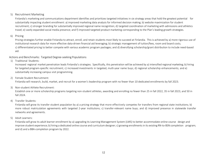#### 5) Recruitment Marketing

Finlandia's marketing and communications department identifies and prioritizes targeted initiatives in six strategy areas that hold the greatest potential for substantially impacting student enrollment: a) improved marketing data analysis for informed decision making; b) website maximization for student recruitment; c) stronger branding for substantially improved regional name recognition; d) targeted coordination of marketing with admissions and athletics travel; e) vastly expanded social media presence; and f) improved targeted product marketing corresponding to the Plan's leading growth strategies.

#### 6) Pricing

Pricing strategies further enable Finlandia to attract, enroll, and retain students most likely to succeed at Finlandia. This is achieved by a) more rigorous use of institutional research data for more effective data-driven financial aid leveraging; b) strategic management of tuition/fees, room and board costs; c) differentiated pricing to better compete with various academic program packages; and d) diversifying scholarship/grant distribution to include need-based aid.

#### Actions and Benchmarks: Targeted Degree-seeking Populations

1) Traditional Students:

Increased regional market penetration leads Finlandia's strategies. Specifically, this penetration will be achieved by a) intensified regional marketing; b) hiring for targeted program-specific recruitment; c) increased investments in targeted, multi-year name buys; d) regional scholarship enhancements; and e) substantially increasing campus visit programming.

2) Female Student Recruitment:

Finlandia will research, build, market, and recruit for a women's leadership program with no fewer than 10 dedicated enrollments by fall 2023.

3) Non-student Athlete Recruitment:

Establish one or more scholarship programs targeting non-student athletes, awarding and enrolling no fewer than 25 in fall 2022, 35 in fall 2023, and 50 in fall 2024.

#### 4) Transfer Students:

Finlandia will grow its transfer student population by a) a pricing strategy that more effectively competes for transfers from regional state institutions; b) more robust matriculation agreements with targeted 2-year institutions; c) transfer-relevant name buys; and d) improved presence in statewide transfer networks and agreements.

5) Adult Learners:

Finlandia will grow its adult learner enrollment by a) upgrading its Learning Management System (LMS) to better accommodate online course design and improve student experience; b) hiring a dedicated online course and curriculum designer; c) growing enrollments in its existing RN-to-BSN completion program; and d) and a BBA-completion program by 2022.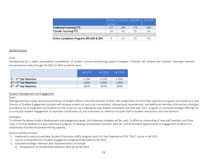|                                          |              |     | Fall 2021   Fall 2022   Fall 2023   Fall 2024 |     |
|------------------------------------------|--------------|-----|-----------------------------------------------|-----|
|                                          | (actual)     |     |                                               |     |
| <b>Traditional Incoming FTE</b>          | 131          | 160 | 175                                           | 180 |
| <b>Transfer Incoming FTE</b>             | 14           | 40  | 35                                            | 35  |
|                                          |              |     |                                               |     |
| Online Completion Programs (RN-BSN & BBA | $\mathbf{z}$ | 15  | 25                                            | 35  |

#### Student Success

#### Goals

Distinguished by a highly personalized constellation of student success and learning support strategies, Finlandia will achieve and maintain improved retention and persistence rates through the 2022 to 2024 academic years.

|                                                  | Fall 2022   | Fall 2023   | Fall 2024   |
|--------------------------------------------------|-------------|-------------|-------------|
| $1st - 2nd$ Year Retention                       | $> 50\%$    | $\geq 53\%$ | $\geq 56\%$ |
| 2 <sup>nd</sup> – 3 <sup>rd</sup> Year Retention | $\geq 80\%$ | $\geq 83\%$ | $\geq 86\%$ |
| $3rd - 4th$ Year Retention                       | >85%        | ≥87%        | ≥89%        |

#### Student Development and Engagement

#### Goals

Distinguished by a newly restructured Division of Student Affairs in the fall semester of 2022, the realignment of a First Year Experience program and launch of a new Director of Student Engagement position will increase student co-curricular involvement, interpersonal development, and additional retention intervention strategies as evidence by 1) integrated matriculation to the university via a redesigned new student orientation and first year "sisu" program 2) increased strategic offerings for co-curricular student engagement 3) improved coordination of, and investment in, retention focused staff to student interactions and interventions.

#### Strategies

To achieve the above student development and engagement goals, the following strategies will be used: 1) effective onboarding of new staff members and their roles; 2) further develop first year experience program; 3) develop standardized retention data set; and 4) formalize opportunities to engage with students in a relationship-focused and forward-facing capacity.

- 1. Implement a restructured New Student Orientation (NSO) program and First Year Experience (FYE) "SISU" course in fall 2022.
- 2. Launch a comprehensive Student Engagement programming model by fall 2022
- 3. Complete strategic retention plan implementation, to include
	- a) Development of standardized retention data set by fall 2022.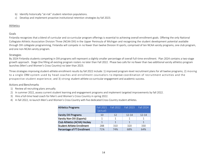- b) Identify historically "at-risk" student retention populations.
- c) Develop and implement proactive institutional retention strategies by fall 2023.

#### Athletics

#### Goals

Finlandia recognizes that a blend of curricular and co-curricular program offerings is essential to achieving overall enrollment goals. Offering the only National Collegiate Athletic Association Division Three (NCAA DIII) in the Upper Peninsula of Michigan and recognizing the student development potential available through DIII collegiate programming, Finlandia will compete in no fewer than twelve Division III sports, comprised of ten NCAA varsity programs, one club program, and one non-NCAA varsity program.

#### **Strategies**

By 2024 Finlandia students competing in DIII programs will represent a slightly smaller percentage of overall full-time enrollment. Plan 2024 contains a two-stage growth approach. Stage One filling all existing program rosters no later than Fall 2022. Phase two calls for no fewer than two additional varsity athletics program launches (Men's and Women's Cross Country) no later than 2023.

Three strategies improving student-athlete enrollment results by fall 2022 include: 1) improved program-level recruitment plans for all twelve programs; 2) moving to a single CRM system used by head coaches and enrollment counselors to improve coordination of recruitment activities and the prospective student experience; and 3) strong student-athlete co-curricular engagement and academic success.

- 1) Review all recruiting plans annually.
- 2) In summer 2022, assess current student learning and engagement programs and implement targeted improvements by fall 2022.
- 3) Hire a full-time head coach for Men's and Women's Cross Country in spring 2022.
- 4) In fall 2022, re-launch Men's and Women's Cross Country with five dedicated Cross-Country student athletes.

| <b>Athletics Programs</b>         | <b>Fall 2021</b><br>(actual) | <b>Fall 2022</b> | <b>Fall 2023</b> | <b>Fall 2024</b> |
|-----------------------------------|------------------------------|------------------|------------------|------------------|
| <b>Varsity DIII Programs</b>      | 10                           | 12               | $12 - 14$        | $12 - 14$        |
| Varsity Non-DIII (Esports)        |                              |                  |                  |                  |
| Club Athletics (ACHA) Hockey      |                              |                  | 1                |                  |
| <b>Student Athlete Enrollment</b> | 288                          | 310              | 320              | 330              |
| Percentage of FT Enrollment       | 71%                          | 74%              | 68%              | 64%              |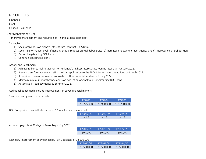# RESOURCES

#### Finances

#### Goal

Financial Resilience

#### Debt Management Goal

Improved management and reduction of Finlandia's long-term debt.

## Strategies

- 1) Seek forgiveness on highest interest rate loan that is ≥ \$1mm.
- 2) Seek transformative-level refinancing that a) reduces annual debt service; b) increases endowment investments; and c) improves collateral position.
- 3) Pay off longstanding DOE loans.
- 4) Continue servicing all loans.

#### Actions and Benchmarks

- 1) Achieve full or partial forgiveness on Finlandia's highest interest rate loan no later than January 2022.
- 2) Present transformative-level refinance loan application to the ELCA Mission Investment Fund by March 2022.
- 3) If required, present refinance proposals to other potential lenders in Spring 2022.
- 4) Maintain minimum monthly payments on two (of an original four) longstanding DOE loans.
- 5) Automate all loan payments by Summer 2022.

Additional benchmarks include improvements in seven financial markers.

Year over year growth in net assets.

| FY2023          | FY2024          | <b>EY2025</b>     |
|-----------------|-----------------|-------------------|
| $\ge$ \$225,000 | $\ge$ \$900,000 | $\ge$ \$1,700,000 |

DOE Composite Financial Index score of 1.5 reached and maintained.

| FY2022/23 | FY2023/24 | FY2024/25 |
|-----------|-----------|-----------|
| >1.5      | >1.5      | >1.5      |

Accounts payable at 30 days or fewer beginning 2022.

| FY2022/23 | FY2023/24 | FY2024/25 |
|-----------|-----------|-----------|
| 30 Days   | 30 Days   | 30 Days   |

Cash flow improvement as evidenced by July 1 balances of ≥ \$500,000.

| ,,,,,,,         |                 |                 |
|-----------------|-----------------|-----------------|
| FY2022/23       | FY2023/24       | FY2024/25       |
| $\ge$ \$500,000 | $\ge$ \$500,000 | $\ge$ \$500,000 |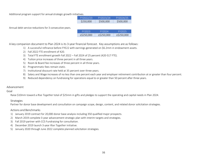Additional program support for annual strategic growth initiatives.

| FY2022/23 | FY2023/24 | FY2024/25 |
|-----------|-----------|-----------|
| \$250,000 | \$500,000 | \$500,000 |

Annual debt service reductions for 3 consecutive years.

| FY2023        | $+Y2024$  | $+YZ175$   |
|---------------|-----------|------------|
| $≥$ \$250,000 | ≥S250,000 | ≥\$250,000 |

A key companion document to Plan 2024 is its 3-year financial forecast. Key assumptions are as follows:

- 1) A successful refinance before FYE22 with earnings generated on \$6.2mm in endowment assets.
- 2) Fall 2022 FTE enrollment of 420.
- 3) Total FTE enrollment growth Fall 2022 Fall 2024 of 25 percent (420-517 FTE).
- 4) Tuition price increases of three percent in all three years.
- 5) Room & Board fee increases of three percent in all three years.
- 6) Programmatic fees remain static.
- 7) Institutional discount rate held at 35 percent over three years.
- 8) Salary and Wage increases of no less than one percent each year and employer retirement contribution at or greater than four percent.
- 9) Reduced dependency on fundraising for operations equal to or greater than 50 percent after three years.

#### Advancement

#### Goal

Raise \$10mm toward a *Rise Together* total of \$25mm in gifts and pledges to support the operating and capital needs in Plan 2024.

#### Strategies

Partner for donor base development and consultation on campaign scope, design, content, and related donor solicitation strategies.

- 1) January 2019 contract for 20,000 donor base analysis including 350 qualified major prospects.
- 2) March 2019 complete 3-year advancement strategic plan with interim targets and strategies.
- 3) Fall 2019 partner with CCS Fundraising for consultation.
- 4) December 2019 launch 3-year *Rise Together* initiative.
- 5) January 2020 through June 2022 complete planned solicitation strategies.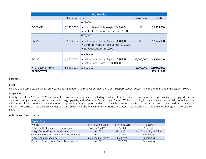| <b>Rise Together</b>  |             |                                                                                                                                   |             |              |  |
|-----------------------|-------------|-----------------------------------------------------------------------------------------------------------------------------------|-------------|--------------|--|
|                       | Operating   | Plant                                                                                                                             | Endowment   | Totals       |  |
| FY2019/20             | \$2,400,000 | \$375,000<br>• Instructional Technologies \$350,000<br>• Center for Vocation and Career \$25,000                                  | \$0         | \$2,775,000  |  |
| FY20/21               | \$2,000,000 | \$975,000<br>· Instructional Technologies: \$350,000<br>• Center for Vocation and Career: \$75,000<br>· Student Center: \$550,000 | \$0         | \$2,975,000  |  |
| FY21/22               | \$2,000,000 | \$1,250,000<br>• Instructional Technologies: \$250,000<br>• Instructional Spaces: \$1,000,000                                     | \$1,000,000 | \$4,250,000  |  |
| Rise Together - Total | \$6,400,000 | \$2,600,000                                                                                                                       | \$1,000,000 | \$10,000,000 |  |
| <b>GRAND TOTAL</b>    |             |                                                                                                                                   |             | \$25,221,958 |  |

#### Facilities

#### Goal

Finlandia will complete six capital projects including updates and renovations needed to best support student success and fuel enrollment and program growth.

#### Strategies

Priority projects in 2020 and 2021 are student-intense instructional spaces including a College of Health Sciences renovation, a campus-wide energy upgrade, an oncampus housing expansion, instructional technology upgrade, and a Center for Vocation and Career. While prioritizing instructional and residential spaces, Finlandia will continually be attentive to developments that present emerging opportunities that are able to address and fund other current and critical needs across campus, including co-curricular and auxiliary venues such as athletics and the Finnish American Heritage Center. These needs are identified in each program-level strategic plan.

| Capital Projects                           |                    |                |                         |  |  |
|--------------------------------------------|--------------------|----------------|-------------------------|--|--|
| Project                                    | Project Completion | Projected Cost | Funding                 |  |  |
| College of Health Sciences Renovations     | Winter 2020/21     | <b>\$800K</b>  | Asset Sale              |  |  |
| Energy Renewal/Instructional Spaces        | Fall 2023          | Up to \$5mm    | PACE Financing or Other |  |  |
| On-campus Housing Mannerheim West/Central  | Fall 2023          | 51mm           | PPP Financing           |  |  |
| Instructional Technologies                 | Summer 2022/23/24  | \$50K/year     | Fundraising             |  |  |
| Center for Vocation and Career Development | Fall 2022          | \$150,000      | Fundraising             |  |  |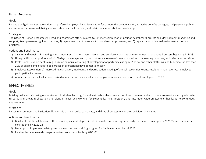#### Human Resources

#### Goals

Finlandia will gain greater recognition as a preferred employer by achieving goalsfor competitive compensation, attractive benefits packages, and personnel policies and services that value well-being and consistently attract, support, and retain competent staff and leadership.

#### **Strategies**

The Office of Human Resources will lead and coordinate efforts related to 1) timely completion of position searches; 2) professional development marketing and support; 3) employee recognition practices; 4) regular use of exit interview tools and related processes; and 5) regularization of annual performance tools and practices.

#### Actions and Benchmarks

- 1) Salaries and Benefits: Budgeting annual increases of no less than 1 percent and employer contribution to retirement at or above 4 percent beginning in FY23.
- 2) Hiring: a) fill posted positions within 60 days on average, and b) conduct annual review of search procedures, onboarding protocols, and orientation activities.
- 3) Professional Development: a) regularize on-campus marketing of development opportunities using ADP portal and other platforms, and b) achieve no less than 20% of eligible employees to be enrolled in professional development annually.
- 4) Employee Recognition: a) improved regularization, marketing, and participation tracking of annual recognition events resulting in year-over-year employee participation increases.
- 5) Annual Performance Evaluations: revised annual performance evaluation templates in use and on record for all employees by 2022.

# **FFFECTIVENESS**

#### Goals

Building on Finlandia's caring responsiveness to student learning, Finlandia will establish and sustain a culture of assessment across campus as evidenced by adequate resource and program allocation and plans in place and working for student learning, program, and institution-wide assessment that leads to continuous improvement.

#### **Strategies**

Invest in assessment and institutional leadership that can build, coordinate, and drive all assessment-related activities on campus.

- 1) Build an Institutional Research office resulting in a multi-layer's institution-wide dashboard system ready for use across campus in 2021-22 and for external constituents by 2022-23
- 2) Develop and implement a data governance system and training program for implementation by fall 2022.
- 3) Finalize the campus-wide program review process and tools by 2022-23.